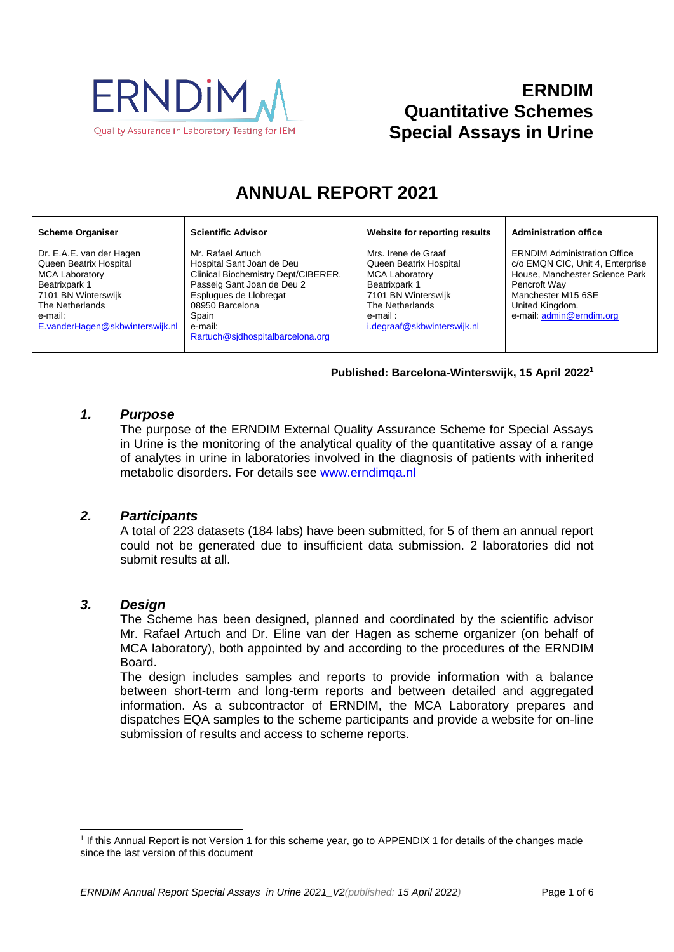

## **ERNDIM Quantitative Schemes Special Assays in Urine**

# **ANNUAL REPORT 2021**

#### **Scheme Organiser**

Dr. E.A.E. van der Hagen Queen Beatrix Hospital MCA Laboratory Beatrixpark 1 7101 BN Winterswijk The Netherlands e-mail: [E.vanderHagen@skbwinterswijk.nl](mailto:E.vanderHagen@skbwinterswijk.nl)

Mr. Rafael Artuch Hospital Sant Joan de Deu Clinical Biochemistry Dept/CIBERER. Passeig Sant Joan de Deu 2 Esplugues de Llobregat 08950 Barcelona Spain e-mail: [Rartuch@sjdhospitalbarcelona.org](mailto:Rartuch@sjdhospitalbarcelona.org)

**Scientific Advisor**

#### **Website for reporting results Administration office**

Mrs. Irene de Graaf Queen Beatrix Hospital MCA Laboratory Beatrixpark 1 7101 BN Winterswijk The Netherlands e-mail : [i.degraaf@skbwinterswijk.nl](mailto:i.degraaf@skbwinterswijk.nl)

#### ERNDIM Administration Office c/o EMQN CIC, Unit 4, Enterprise

House, Manchester Science Park Pencroft Way Manchester M15 6SE United Kingdom. e-mail[: admin@erndim.org](mailto:admin@erndim.org)

#### **Published: Barcelona-Winterswijk, 15 April 2022 1**

### *1. Purpose*

The purpose of the ERNDIM External Quality Assurance Scheme for Special Assays in Urine is the monitoring of the analytical quality of the quantitative assay of a range of analytes in urine in laboratories involved in the diagnosis of patients with inherited metabolic disorders. For details see [www.erndimqa.nl](http://www.erndimqa.nl/)

#### *2. Participants*

A total of 223 datasets (184 labs) have been submitted, for 5 of them an annual report could not be generated due to insufficient data submission. 2 laboratories did not submit results at all.

#### *3. Design*

l

The Scheme has been designed, planned and coordinated by the scientific advisor Mr. Rafael Artuch and Dr. Eline van der Hagen as scheme organizer (on behalf of MCA laboratory), both appointed by and according to the procedures of the ERNDIM Board.

The design includes samples and reports to provide information with a balance between short-term and long-term reports and between detailed and aggregated information. As a subcontractor of ERNDIM, the MCA Laboratory prepares and dispatches EQA samples to the scheme participants and provide a website for on-line submission of results and access to scheme reports.

<sup>&</sup>lt;sup>1</sup> If this Annual Report is not Version 1 for this scheme year, go to [APPENDIX 1](#page-5-0) for details of the changes made since the last version of this document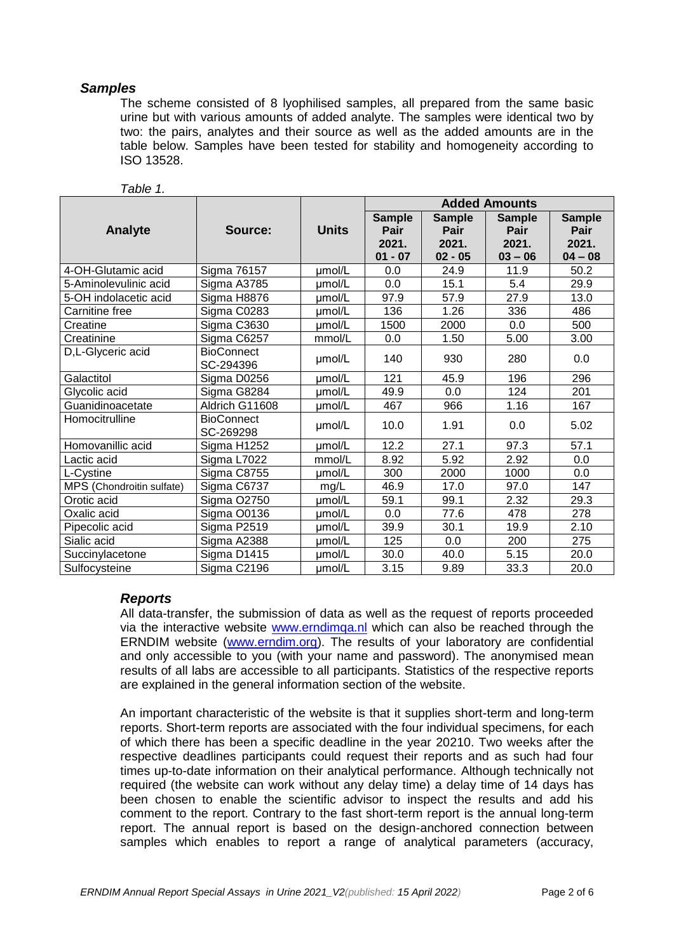#### *Samples*

The scheme consisted of 8 lyophilised samples, all prepared from the same basic urine but with various amounts of added analyte. The samples were identical two by two: the pairs, analytes and their source as well as the added amounts are in the table below. Samples have been tested for stability and homogeneity according to ISO 13528.

|                           |                                |              | <b>Added Amounts</b>                        |                                             |                                             |                                             |
|---------------------------|--------------------------------|--------------|---------------------------------------------|---------------------------------------------|---------------------------------------------|---------------------------------------------|
| Analyte                   | Source:                        | <b>Units</b> | <b>Sample</b><br>Pair<br>2021.<br>$01 - 07$ | <b>Sample</b><br>Pair<br>2021.<br>$02 - 05$ | <b>Sample</b><br>Pair<br>2021.<br>$03 - 06$ | <b>Sample</b><br>Pair<br>2021.<br>$04 - 08$ |
| 4-OH-Glutamic acid        | Sigma 76157                    | umol/L       | 0.0                                         | 24.9                                        | 11.9                                        | 50.2                                        |
| 5-Aminolevulinic acid     | Sigma A3785                    | umol/L       | 0.0                                         | 15.1                                        | 5.4                                         | 29.9                                        |
| 5-OH indolacetic acid     | Sigma H8876                    | umol/L       | 97.9                                        | 57.9                                        | 27.9                                        | 13.0                                        |
| Carnitine free            | Sigma C0283                    | umol/L       | 136                                         | 1.26                                        | 336                                         | 486                                         |
| Creatine                  | Sigma C3630                    | umol/L       | 1500                                        | 2000                                        | 0.0                                         | 500                                         |
| Creatinine                | Sigma C6257                    | mmol/L       | 0.0                                         | 1.50                                        | 5.00                                        | 3.00                                        |
| D,L-Glyceric acid         | <b>BioConnect</b><br>SC-294396 | umol/L       | 140                                         | 930                                         | 280                                         | 0.0                                         |
| Galactitol                | Sigma D0256                    | umol/L       | 121                                         | 45.9                                        | 196                                         | 296                                         |
| Glycolic acid             | Sigma G8284                    | umol/L       | 49.9                                        | 0.0                                         | 124                                         | 201                                         |
| Guanidinoacetate          | Aldrich G11608                 | umol/L       | 467                                         | 966                                         | 1.16                                        | 167                                         |
| Homocitrulline            | <b>BioConnect</b><br>SC-269298 | umol/L       | 10.0                                        | 1.91                                        | 0.0                                         | 5.02                                        |
| Homovanillic acid         | Sigma H1252                    | umol/L       | 12.2                                        | 27.1                                        | 97.3                                        | 57.1                                        |
| Lactic acid               | Sigma L7022                    | mmol/L       | 8.92                                        | 5.92                                        | 2.92                                        | 0.0                                         |
| L-Cystine                 | Sigma C8755                    | umol/L       | 300                                         | 2000                                        | 1000                                        | 0.0                                         |
| MPS (Chondroitin sulfate) | Sigma C6737                    | mg/L         | 46.9                                        | 17.0                                        | 97.0                                        | 147                                         |
| Orotic acid               | <b>Sigma O2750</b>             | umol/L       | 59.1                                        | 99.1                                        | 2.32                                        | 29.3                                        |
| Oxalic acid               | Sigma O0136                    | umol/L       | 0.0                                         | 77.6                                        | 478                                         | 278                                         |
| Pipecolic acid            | Sigma P2519                    | umol/L       | 39.9                                        | 30.1                                        | 19.9                                        | 2.10                                        |
| Sialic acid               | Sigma A2388                    | umol/L       | 125                                         | 0.0                                         | 200                                         | 275                                         |
| Succinylacetone           | Sigma D1415                    | umol/L       | 30.0                                        | 40.0                                        | 5.15                                        | 20.0                                        |
| Sulfocysteine             | Sigma C2196                    | umol/L       | 3.15                                        | 9.89                                        | 33.3                                        | 20.0                                        |

### *Table 1.*

#### *Reports*

All data-transfer, the submission of data as well as the request of reports proceeded via the interactive website [www.erndimqa.nl](http://www.erndimqa.nl/) which can also be reached through the ERNDIM website [\(www.erndim.org\)](http://www.erndim.org/). The results of your laboratory are confidential and only accessible to you (with your name and password). The anonymised mean results of all labs are accessible to all participants. Statistics of the respective reports are explained in the general information section of the website.

An important characteristic of the website is that it supplies short-term and long-term reports. Short-term reports are associated with the four individual specimens, for each of which there has been a specific deadline in the year 20210. Two weeks after the respective deadlines participants could request their reports and as such had four times up-to-date information on their analytical performance. Although technically not required (the website can work without any delay time) a delay time of 14 days has been chosen to enable the scientific advisor to inspect the results and add his comment to the report. Contrary to the fast short-term report is the annual long-term report. The annual report is based on the design-anchored connection between samples which enables to report a range of analytical parameters (accuracy,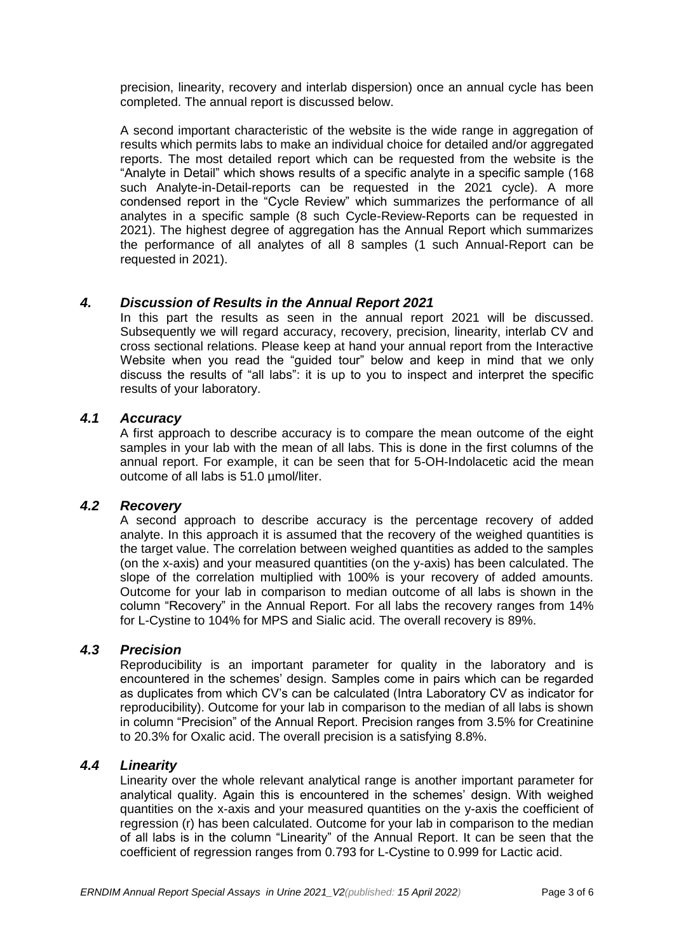precision, linearity, recovery and interlab dispersion) once an annual cycle has been completed. The annual report is discussed below.

A second important characteristic of the website is the wide range in aggregation of results which permits labs to make an individual choice for detailed and/or aggregated reports. The most detailed report which can be requested from the website is the "Analyte in Detail" which shows results of a specific analyte in a specific sample (168 such Analyte-in-Detail-reports can be requested in the 2021 cycle). A more condensed report in the "Cycle Review" which summarizes the performance of all analytes in a specific sample (8 such Cycle-Review-Reports can be requested in 2021). The highest degree of aggregation has the Annual Report which summarizes the performance of all analytes of all 8 samples (1 such Annual-Report can be requested in 2021).

#### *4. Discussion of Results in the Annual Report 2021*

In this part the results as seen in the annual report 2021 will be discussed. Subsequently we will regard accuracy, recovery, precision, linearity, interlab CV and cross sectional relations. Please keep at hand your annual report from the Interactive Website when you read the "guided tour" below and keep in mind that we only discuss the results of "all labs": it is up to you to inspect and interpret the specific results of your laboratory.

### *4.1 Accuracy*

A first approach to describe accuracy is to compare the mean outcome of the eight samples in your lab with the mean of all labs. This is done in the first columns of the annual report. For example, it can be seen that for 5-OH-Indolacetic acid the mean outcome of all labs is 51.0 µmol/liter.

#### *4.2 Recovery*

A second approach to describe accuracy is the percentage recovery of added analyte. In this approach it is assumed that the recovery of the weighed quantities is the target value. The correlation between weighed quantities as added to the samples (on the x-axis) and your measured quantities (on the y-axis) has been calculated. The slope of the correlation multiplied with 100% is your recovery of added amounts. Outcome for your lab in comparison to median outcome of all labs is shown in the column "Recovery" in the Annual Report. For all labs the recovery ranges from 14% for L-Cystine to 104% for MPS and Sialic acid. The overall recovery is 89%.

#### *4.3 Precision*

Reproducibility is an important parameter for quality in the laboratory and is encountered in the schemes' design. Samples come in pairs which can be regarded as duplicates from which CV's can be calculated (Intra Laboratory CV as indicator for reproducibility). Outcome for your lab in comparison to the median of all labs is shown in column "Precision" of the Annual Report. Precision ranges from 3.5% for Creatinine to 20.3% for Oxalic acid. The overall precision is a satisfying 8.8%.

#### *4.4 Linearity*

Linearity over the whole relevant analytical range is another important parameter for analytical quality. Again this is encountered in the schemes' design. With weighed quantities on the x-axis and your measured quantities on the y-axis the coefficient of regression (r) has been calculated. Outcome for your lab in comparison to the median of all labs is in the column "Linearity" of the Annual Report. It can be seen that the coefficient of regression ranges from 0.793 for L-Cystine to 0.999 for Lactic acid.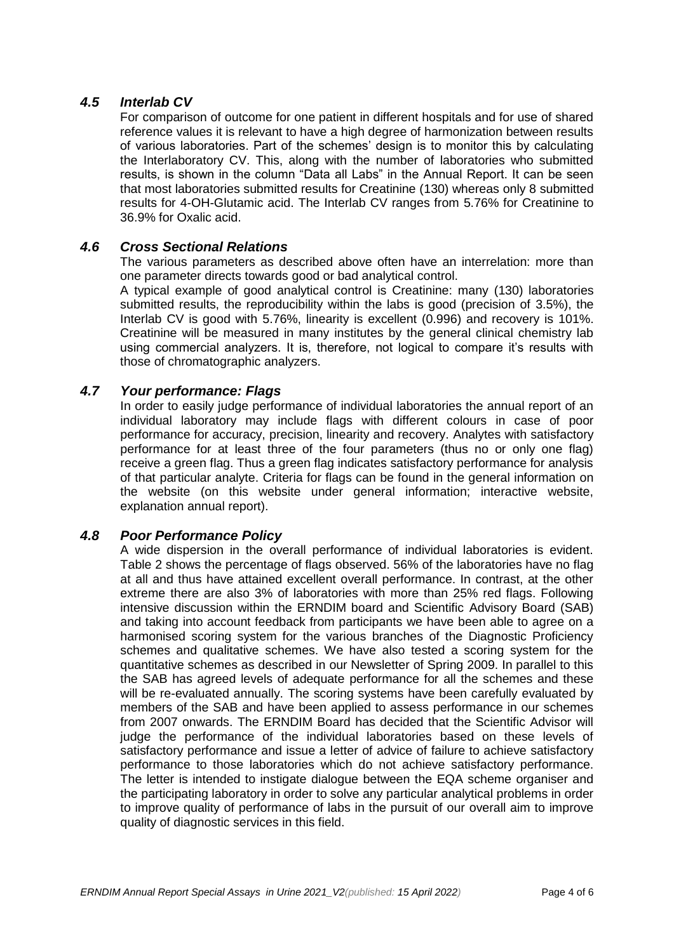#### *4.5 Interlab CV*

For comparison of outcome for one patient in different hospitals and for use of shared reference values it is relevant to have a high degree of harmonization between results of various laboratories. Part of the schemes' design is to monitor this by calculating the Interlaboratory CV. This, along with the number of laboratories who submitted results, is shown in the column "Data all Labs" in the Annual Report. It can be seen that most laboratories submitted results for Creatinine (130) whereas only 8 submitted results for 4-OH-Glutamic acid. The Interlab CV ranges from 5.76% for Creatinine to 36.9% for Oxalic acid.

#### *4.6 Cross Sectional Relations*

The various parameters as described above often have an interrelation: more than one parameter directs towards good or bad analytical control.

A typical example of good analytical control is Creatinine: many (130) laboratories submitted results, the reproducibility within the labs is good (precision of 3.5%), the Interlab CV is good with 5.76%, linearity is excellent (0.996) and recovery is 101%. Creatinine will be measured in many institutes by the general clinical chemistry lab using commercial analyzers. It is, therefore, not logical to compare it's results with those of chromatographic analyzers.

#### *4.7 Your performance: Flags*

In order to easily judge performance of individual laboratories the annual report of an individual laboratory may include flags with different colours in case of poor performance for accuracy, precision, linearity and recovery. Analytes with satisfactory performance for at least three of the four parameters (thus no or only one flag) receive a green flag. Thus a green flag indicates satisfactory performance for analysis of that particular analyte. Criteria for flags can be found in the general information on the website (on this website under general information; interactive website, explanation annual report).

### *4.8 Poor Performance Policy*

A wide dispersion in the overall performance of individual laboratories is evident. Table 2 shows the percentage of flags observed. 56% of the laboratories have no flag at all and thus have attained excellent overall performance. In contrast, at the other extreme there are also 3% of laboratories with more than 25% red flags. Following intensive discussion within the ERNDIM board and Scientific Advisory Board (SAB) and taking into account feedback from participants we have been able to agree on a harmonised scoring system for the various branches of the Diagnostic Proficiency schemes and qualitative schemes. We have also tested a scoring system for the quantitative schemes as described in our Newsletter of Spring 2009. In parallel to this the SAB has agreed levels of adequate performance for all the schemes and these will be re-evaluated annually. The scoring systems have been carefully evaluated by members of the SAB and have been applied to assess performance in our schemes from 2007 onwards. The ERNDIM Board has decided that the Scientific Advisor will judge the performance of the individual laboratories based on these levels of satisfactory performance and issue a letter of advice of failure to achieve satisfactory performance to those laboratories which do not achieve satisfactory performance. The letter is intended to instigate dialogue between the EQA scheme organiser and the participating laboratory in order to solve any particular analytical problems in order to improve quality of performance of labs in the pursuit of our overall aim to improve quality of diagnostic services in this field.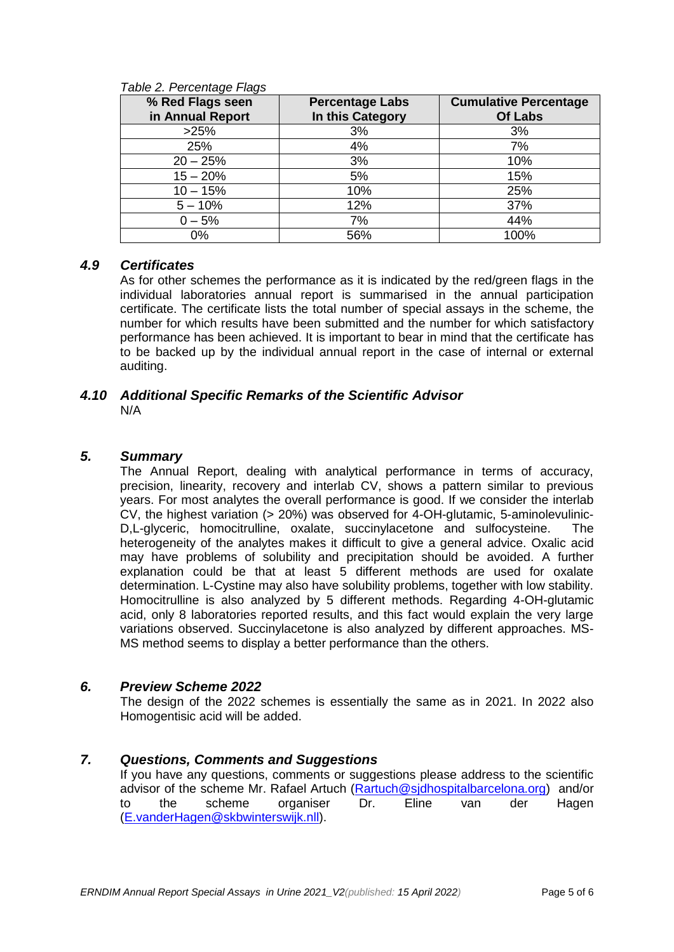| % Red Flags seen<br>in Annual Report | <b>Percentage Labs</b><br>In this Category | <b>Cumulative Percentage</b><br><b>Of Labs</b> |
|--------------------------------------|--------------------------------------------|------------------------------------------------|
| >25%                                 | 3%                                         | 3%                                             |
| 25%                                  | 4%                                         | 7%                                             |
| $20 - 25%$                           | 3%                                         | 10%                                            |
| $15 - 20%$                           | 5%                                         | 15%                                            |
| $10 - 15%$                           | 10%                                        | 25%                                            |
| $5 - 10%$                            | 12%                                        | 37%                                            |
| $0 - 5%$                             | 7%                                         | 44%                                            |
| 0%                                   | 56%                                        | 100%                                           |

#### *Table 2. Percentage Flags*

#### *4.9 Certificates*

As for other schemes the performance as it is indicated by the red/green flags in the individual laboratories annual report is summarised in the annual participation certificate. The certificate lists the total number of special assays in the scheme, the number for which results have been submitted and the number for which satisfactory performance has been achieved. It is important to bear in mind that the certificate has to be backed up by the individual annual report in the case of internal or external auditing.

#### *4.10 Additional Specific Remarks of the Scientific Advisor* N/A

#### *5. Summary*

The Annual Report, dealing with analytical performance in terms of accuracy, precision, linearity, recovery and interlab CV, shows a pattern similar to previous years. For most analytes the overall performance is good. If we consider the interlab CV, the highest variation (> 20%) was observed for 4-OH-glutamic, 5-aminolevulinic-D,L-glyceric, homocitrulline, oxalate, succinylacetone and sulfocysteine. The heterogeneity of the analytes makes it difficult to give a general advice. Oxalic acid may have problems of solubility and precipitation should be avoided. A further explanation could be that at least 5 different methods are used for oxalate determination. L-Cystine may also have solubility problems, together with low stability. Homocitrulline is also analyzed by 5 different methods. Regarding 4-OH-glutamic acid, only 8 laboratories reported results, and this fact would explain the very large variations observed. Succinylacetone is also analyzed by different approaches. MS-MS method seems to display a better performance than the others.

#### *6. Preview Scheme 2022*

The design of the 2022 schemes is essentially the same as in 2021. In 2022 also Homogentisic acid will be added.

#### *7. Questions, Comments and Suggestions*

If you have any questions, comments or suggestions please address to the scientific advisor of the scheme Mr. Rafael Artuch [\(Rartuch@sjdhospitalbarcelona.org\)](mailto:Rartuch@sjdhospitalbarcelona.org) and/or to the scheme organiser Dr. Eline van der Hagen [\(E.vanderHagen@skbwinterswijk.nll](mailto:E.vanderHagen@skbwinterswijk.nl)[\)](mailto:c.w.weykamp@skbwinterswijk.nl).